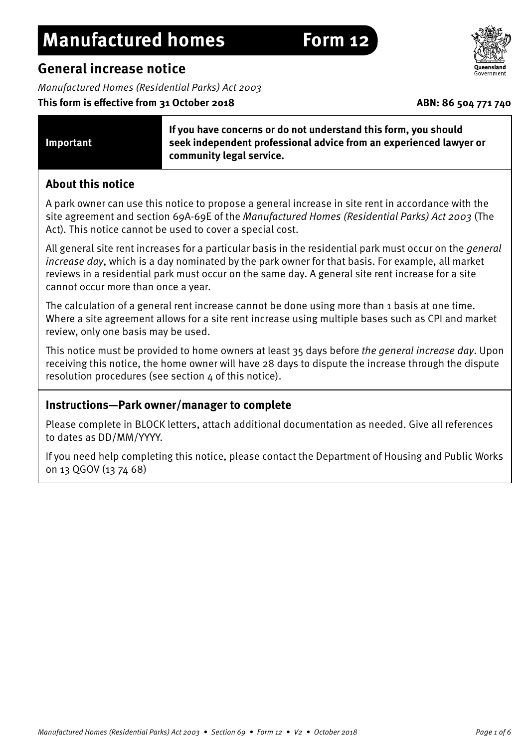# **Manufactured homes** Form 12

## **General increase notice**

Manufactured Homes (Residential Parks) Act 2003

#### This form is effective from 31 October 2018 **ABN: 86 504 771 740**

#### **If you have concerns or do not understand this form, you should seek independent professional advice from an experienced lawyer or community legal service.**

#### **About this notice**

A park owner can use this notice to propose a general increase in site rent in accordance with the site agreement and section 69A-69E of the Manufactured Homes (Residential Parks) Act 2003 (The Act). This notice cannot be used to cover a special cost.

All general site rent increases for a particular basis in the residential park must occur on the *general* increase day, which is a day nominated by the park owner for that basis. For example, all market reviews in a residential park must occur on the same day. A general site rent increase for a site cannot occur more than once a year.

The calculation of a general rent increase cannot be done using more than 1 basis at one time. Where a site agreement allows for a site rent increase using multiple bases such as CPI and market review, only one basis may be used.

This notice must be provided to home owners at least 35 days before the general increase day. Upon receiving this notice, the home owner will have 28 days to dispute the increase through the dispute resolution procedures (see section 4 of this notice).

#### **Instructions—Park owner/manager to complete**

Please complete in BLOCK letters, attach additional documentation as needed. Give all references to dates as DD/MM/YYYY.

If you need help completing this notice, please contact the Department of Housing and Public Works on 13 QGOV (13 74 68)



# **Important**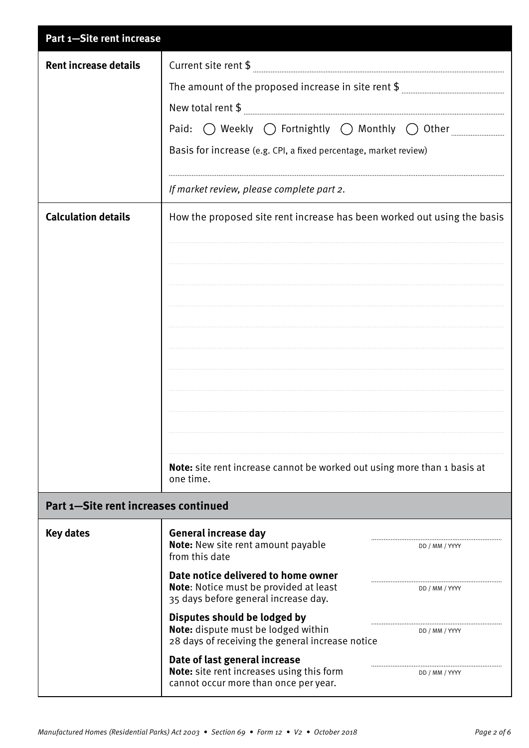| Part 1-Site rent increase            |                                                                                         |                |  |
|--------------------------------------|-----------------------------------------------------------------------------------------|----------------|--|
| <b>Rent increase details</b>         | Current site rent \$                                                                    |                |  |
|                                      | The amount of the proposed increase in site rent $$$                                    |                |  |
|                                      |                                                                                         |                |  |
|                                      | Paid: $\bigcirc$ Weekly $\bigcirc$ Fortnightly $\bigcirc$ Monthly $\bigcirc$ Other      |                |  |
|                                      | Basis for increase (e.g. CPI, a fixed percentage, market review)                        |                |  |
|                                      |                                                                                         |                |  |
|                                      | If market review, please complete part 2.                                               |                |  |
| <b>Calculation details</b>           | How the proposed site rent increase has been worked out using the basis                 |                |  |
|                                      |                                                                                         |                |  |
|                                      |                                                                                         |                |  |
|                                      |                                                                                         |                |  |
|                                      |                                                                                         |                |  |
|                                      |                                                                                         |                |  |
|                                      |                                                                                         |                |  |
|                                      |                                                                                         |                |  |
|                                      |                                                                                         |                |  |
|                                      |                                                                                         |                |  |
|                                      |                                                                                         |                |  |
|                                      |                                                                                         |                |  |
|                                      | Note: site rent increase cannot be worked out using more than 1 basis at<br>one time.   |                |  |
| Part 1-Site rent increases continued |                                                                                         |                |  |
| <b>Key dates</b>                     | General increase day                                                                    |                |  |
|                                      | <b>Note:</b> New site rent amount payable<br>from this date                             | DD / MM / YYYY |  |
|                                      | Date notice delivered to home owner                                                     |                |  |
|                                      | Note: Notice must be provided at least<br>35 days before general increase day.          | DD / MM / YYYY |  |
|                                      | Disputes should be lodged by                                                            |                |  |
|                                      | Note: dispute must be lodged within<br>28 days of receiving the general increase notice | DD / MM / YYYY |  |
|                                      | Date of last general increase                                                           |                |  |
|                                      | Note: site rent increases using this form<br>cannot occur more than once per year.      | DD / MM / YYYY |  |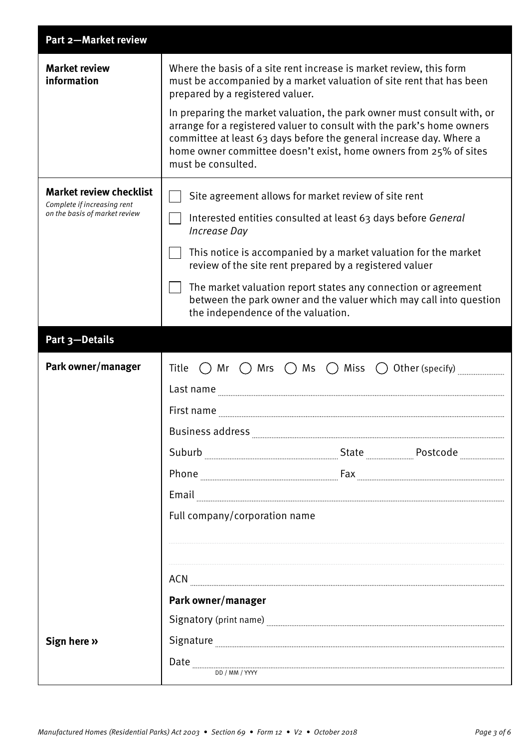| <b>Part 2-Market review</b>                                                                    |                                                                                                                                                                                                                                                                                                                     |                                                                                      |                                                                    |
|------------------------------------------------------------------------------------------------|---------------------------------------------------------------------------------------------------------------------------------------------------------------------------------------------------------------------------------------------------------------------------------------------------------------------|--------------------------------------------------------------------------------------|--------------------------------------------------------------------|
| <b>Market review</b><br>information                                                            | Where the basis of a site rent increase is market review, this form<br>must be accompanied by a market valuation of site rent that has been<br>prepared by a registered valuer.                                                                                                                                     |                                                                                      |                                                                    |
|                                                                                                | In preparing the market valuation, the park owner must consult with, or<br>arrange for a registered valuer to consult with the park's home owners<br>committee at least 63 days before the general increase day. Where a<br>home owner committee doesn't exist, home owners from 25% of sites<br>must be consulted. |                                                                                      |                                                                    |
| <b>Market review checklist</b><br>Complete if increasing rent<br>on the basis of market review | Site agreement allows for market review of site rent                                                                                                                                                                                                                                                                |                                                                                      |                                                                    |
|                                                                                                | Interested entities consulted at least 63 days before General<br><b>Increase Day</b>                                                                                                                                                                                                                                |                                                                                      |                                                                    |
|                                                                                                | This notice is accompanied by a market valuation for the market<br>review of the site rent prepared by a registered valuer                                                                                                                                                                                          |                                                                                      |                                                                    |
|                                                                                                | The market valuation report states any connection or agreement<br>the independence of the valuation.                                                                                                                                                                                                                |                                                                                      | between the park owner and the valuer which may call into question |
| Part 3-Details                                                                                 |                                                                                                                                                                                                                                                                                                                     |                                                                                      |                                                                    |
| Park owner/manager                                                                             | Title                                                                                                                                                                                                                                                                                                               | $\bigcap$ Mr $\bigcirc$ Mrs $\bigcirc$ Ms $\bigcirc$ Miss $\bigcirc$ Other (specify) |                                                                    |
|                                                                                                | Last name                                                                                                                                                                                                                                                                                                           |                                                                                      |                                                                    |
|                                                                                                |                                                                                                                                                                                                                                                                                                                     |                                                                                      |                                                                    |
|                                                                                                | First name                                                                                                                                                                                                                                                                                                          |                                                                                      |                                                                    |
|                                                                                                | <b>Business address</b>                                                                                                                                                                                                                                                                                             |                                                                                      |                                                                    |
|                                                                                                |                                                                                                                                                                                                                                                                                                                     |                                                                                      |                                                                    |
|                                                                                                |                                                                                                                                                                                                                                                                                                                     |                                                                                      |                                                                    |
|                                                                                                |                                                                                                                                                                                                                                                                                                                     |                                                                                      |                                                                    |
|                                                                                                | Full company/corporation name                                                                                                                                                                                                                                                                                       |                                                                                      |                                                                    |
|                                                                                                |                                                                                                                                                                                                                                                                                                                     |                                                                                      |                                                                    |
|                                                                                                |                                                                                                                                                                                                                                                                                                                     |                                                                                      |                                                                    |
|                                                                                                | ACN                                                                                                                                                                                                                                                                                                                 |                                                                                      |                                                                    |
|                                                                                                | Park owner/manager                                                                                                                                                                                                                                                                                                  |                                                                                      |                                                                    |
|                                                                                                |                                                                                                                                                                                                                                                                                                                     |                                                                                      |                                                                    |
| Sign here »                                                                                    | Signature<br>Date                                                                                                                                                                                                                                                                                                   |                                                                                      |                                                                    |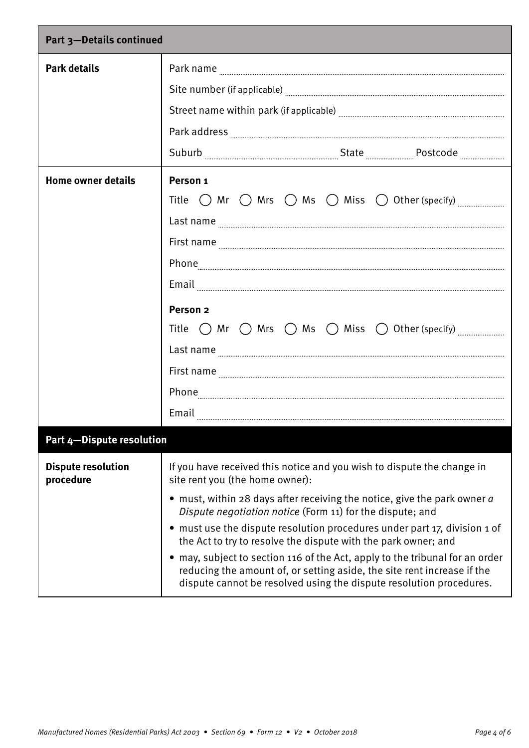| Part 3-Details continued               |                                                                                                                                                                                                                                                                                                                                                                                                                                                                                                                                                                                                                                                                                                                                                                                        |  |  |
|----------------------------------------|----------------------------------------------------------------------------------------------------------------------------------------------------------------------------------------------------------------------------------------------------------------------------------------------------------------------------------------------------------------------------------------------------------------------------------------------------------------------------------------------------------------------------------------------------------------------------------------------------------------------------------------------------------------------------------------------------------------------------------------------------------------------------------------|--|--|
| <b>Park details</b>                    | Park name                                                                                                                                                                                                                                                                                                                                                                                                                                                                                                                                                                                                                                                                                                                                                                              |  |  |
|                                        |                                                                                                                                                                                                                                                                                                                                                                                                                                                                                                                                                                                                                                                                                                                                                                                        |  |  |
|                                        |                                                                                                                                                                                                                                                                                                                                                                                                                                                                                                                                                                                                                                                                                                                                                                                        |  |  |
|                                        |                                                                                                                                                                                                                                                                                                                                                                                                                                                                                                                                                                                                                                                                                                                                                                                        |  |  |
|                                        |                                                                                                                                                                                                                                                                                                                                                                                                                                                                                                                                                                                                                                                                                                                                                                                        |  |  |
| <b>Home owner details</b>              | Person <sub>1</sub><br>Title $\bigcap$ Mr $\bigcap$ Mrs $\bigcap$ Ms $\bigcap$ Miss $\bigcirc$ Other (specify) $\frac{1}{\sum_{i=1}^{n} n_i}$<br>Last name<br>First name <b>with an area and all the contract of the contract of the contract of the contract of the contract of the contract of the contract of the contract of the contract of the contract of the contract of the contract </b><br>Email<br>Person <sub>2</sub><br>Title $\bigcirc$ Mr $\bigcirc$ Mrs $\bigcirc$ Ms $\bigcirc$ Miss $\bigcirc$ Other (specify)<br>Last name<br>First name <b>with a contract of the contract of the contract of the contract of the contract of the contract of the contract of the contract of the contract of the contract of the contract of the contract of the contract of</b> |  |  |
|                                        |                                                                                                                                                                                                                                                                                                                                                                                                                                                                                                                                                                                                                                                                                                                                                                                        |  |  |
|                                        | $\small \textbf{Email} \label{def:main}$                                                                                                                                                                                                                                                                                                                                                                                                                                                                                                                                                                                                                                                                                                                                               |  |  |
| Part 4-Dispute resolution              |                                                                                                                                                                                                                                                                                                                                                                                                                                                                                                                                                                                                                                                                                                                                                                                        |  |  |
| <b>Dispute resolution</b><br>procedure | If you have received this notice and you wish to dispute the change in<br>site rent you (the home owner):                                                                                                                                                                                                                                                                                                                                                                                                                                                                                                                                                                                                                                                                              |  |  |
|                                        | • must, within 28 days after receiving the notice, give the park owner a<br>Dispute negotiation notice (Form 11) for the dispute; and<br>• must use the dispute resolution procedures under part 17, division 1 of<br>the Act to try to resolve the dispute with the park owner; and<br>may, subject to section 116 of the Act, apply to the tribunal for an order<br>reducing the amount of, or setting aside, the site rent increase if the<br>dispute cannot be resolved using the dispute resolution procedures.                                                                                                                                                                                                                                                                   |  |  |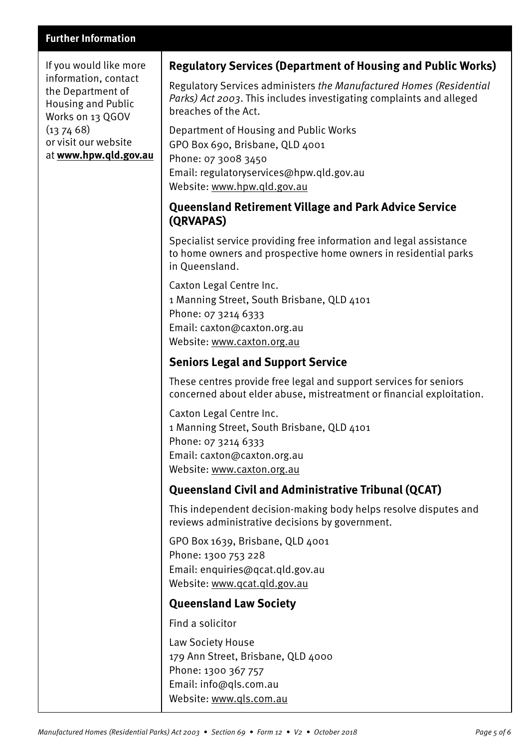#### **Further Information**

If you would like more information, contact the Department of Housing and Public Works on 13 QGOV  $(137468)$ or visit our website at **[www.hpw.qld.gov.au](http://www.hpw.qld.gov.au)**

#### **Regulatory Services (Department of Housing and Public Works)**

Regulatory Services administers the Manufactured Homes (Residential Parks) Act 2003. This includes investigating complaints and alleged breaches of the Act.

Department of Housing and Public Works GPO Box 690, Brisbane, QLD 4001 Phone: 07 3008 3450 Email: regulatoryservices@hpw.qld.gov.au Website: [www.hpw.qld.gov.au](http://www.hpw.qld.gov.au)

#### **Queensland Retirement Village and Park Advice Service (QRVAPAS)**

Specialist service providing free information and legal assistance to home owners and prospective home owners in residential parks in Queensland.

Caxton Legal Centre Inc. 1 Manning Street, South Brisbane, QLD 4101 Phone: 07 3214 6333 Email: caxton@caxton.org.au Website: [www.caxton.org.au](http://www.caxton.org.au)

#### **Seniors Legal and Support Service**

These centres provide free legal and support services for seniors concerned about elder abuse, mistreatment or financial exploitation.

Caxton Legal Centre Inc. 1 Manning Street, South Brisbane, QLD 4101 Phone: 07 3214 6333 Email: caxton@caxton.org.au Website: [www.caxton.org.au](http://www.caxton.org.au)

### **Queensland Civil and Administrative Tribunal (QCAT)**

This independent decision-making body helps resolve disputes and reviews administrative decisions by government.

GPO Box 1639, Brisbane, QLD 4001 Phone: 1300 753 228 Email: enquiries@qcat.qld.gov.au Website: [www.qcat.qld.gov.au](http://www.qcat.qld.gov.au)

#### **Queensland Law Society**

Find a solicitor

Law Society House 179 Ann Street, Brisbane, QLD 4000 Phone: 1300 367 757 Email: info@qls.com.au Website: [www.qls.com.au](http://www.qls.com.au)